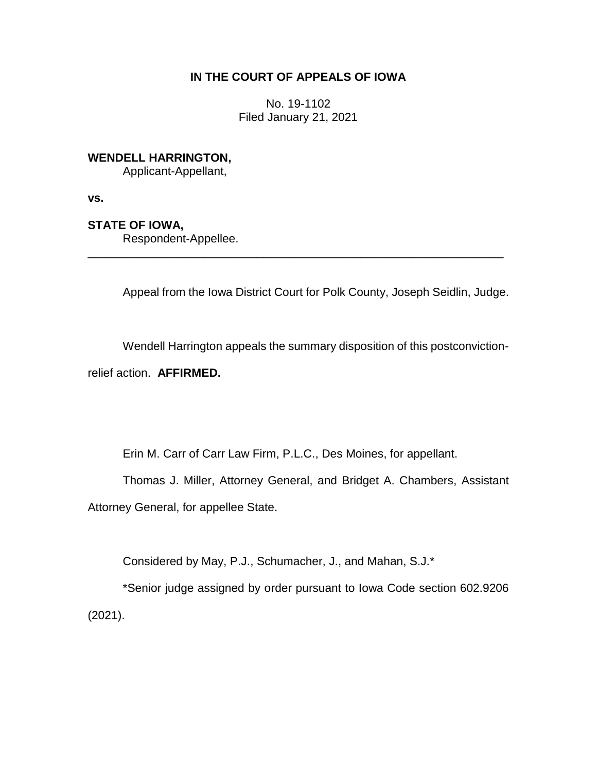## **IN THE COURT OF APPEALS OF IOWA**

No. 19-1102 Filed January 21, 2021

# **WENDELL HARRINGTON,**

Applicant-Appellant,

**vs.**

## **STATE OF IOWA,**

Respondent-Appellee.

Appeal from the Iowa District Court for Polk County, Joseph Seidlin, Judge.

Wendell Harrington appeals the summary disposition of this postconvictionrelief action. **AFFIRMED.**

\_\_\_\_\_\_\_\_\_\_\_\_\_\_\_\_\_\_\_\_\_\_\_\_\_\_\_\_\_\_\_\_\_\_\_\_\_\_\_\_\_\_\_\_\_\_\_\_\_\_\_\_\_\_\_\_\_\_\_\_\_\_\_\_

Erin M. Carr of Carr Law Firm, P.L.C., Des Moines, for appellant.

Thomas J. Miller, Attorney General, and Bridget A. Chambers, Assistant Attorney General, for appellee State.

Considered by May, P.J., Schumacher, J., and Mahan, S.J.\*

\*Senior judge assigned by order pursuant to Iowa Code section 602.9206 (2021).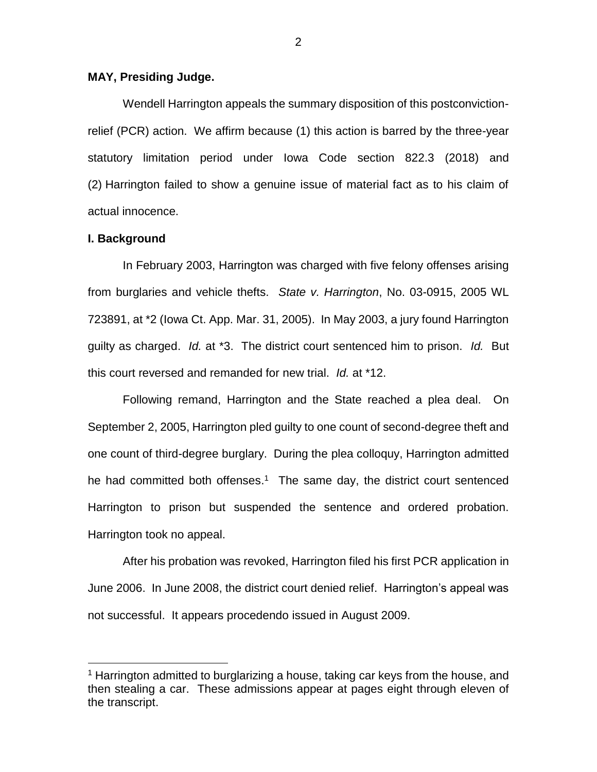### **MAY, Presiding Judge.**

Wendell Harrington appeals the summary disposition of this postconvictionrelief (PCR) action. We affirm because (1) this action is barred by the three-year statutory limitation period under Iowa Code section 822.3 (2018) and (2) Harrington failed to show a genuine issue of material fact as to his claim of actual innocence.

#### **I. Background**

 $\overline{a}$ 

In February 2003, Harrington was charged with five felony offenses arising from burglaries and vehicle thefts. *State v. Harrington*, No. 03-0915, 2005 WL 723891, at \*2 (Iowa Ct. App. Mar. 31, 2005). In May 2003, a jury found Harrington guilty as charged. *Id.* at \*3. The district court sentenced him to prison. *Id.* But this court reversed and remanded for new trial. *Id.* at \*12.

Following remand, Harrington and the State reached a plea deal. On September 2, 2005, Harrington pled guilty to one count of second-degree theft and one count of third-degree burglary. During the plea colloquy, Harrington admitted he had committed both offenses.<sup>1</sup> The same day, the district court sentenced Harrington to prison but suspended the sentence and ordered probation. Harrington took no appeal.

After his probation was revoked, Harrington filed his first PCR application in June 2006. In June 2008, the district court denied relief. Harrington's appeal was not successful. It appears procedendo issued in August 2009.

<sup>&</sup>lt;sup>1</sup> Harrington admitted to burglarizing a house, taking car keys from the house, and then stealing a car. These admissions appear at pages eight through eleven of the transcript.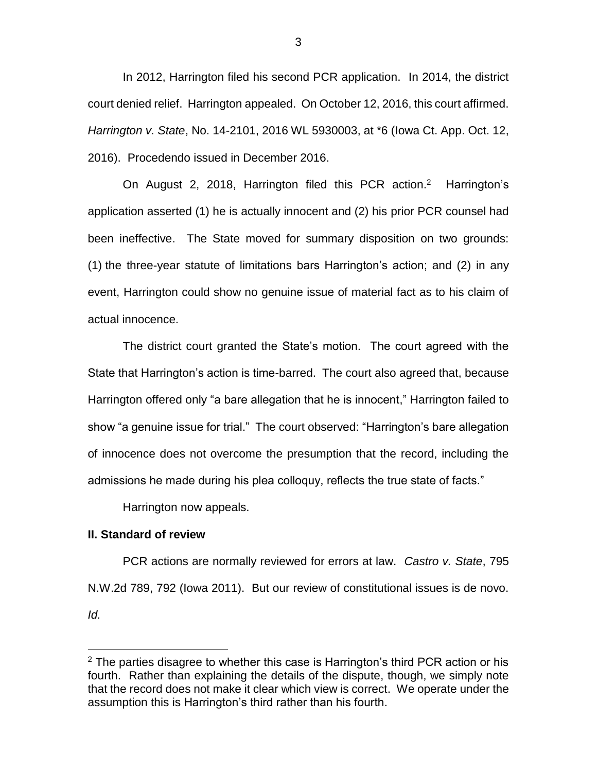In 2012, Harrington filed his second PCR application. In 2014, the district court denied relief. Harrington appealed. On October 12, 2016, this court affirmed. *Harrington v. State*, No. 14-2101, 2016 WL 5930003, at \*6 (Iowa Ct. App. Oct. 12, 2016). Procedendo issued in December 2016.

On August 2, 2018, Harrington filed this PCR action.<sup>2</sup> Harrington's application asserted (1) he is actually innocent and (2) his prior PCR counsel had been ineffective. The State moved for summary disposition on two grounds: (1) the three-year statute of limitations bars Harrington's action; and (2) in any event, Harrington could show no genuine issue of material fact as to his claim of actual innocence.

The district court granted the State's motion. The court agreed with the State that Harrington's action is time-barred. The court also agreed that, because Harrington offered only "a bare allegation that he is innocent," Harrington failed to show "a genuine issue for trial." The court observed: "Harrington's bare allegation of innocence does not overcome the presumption that the record, including the admissions he made during his plea colloquy, reflects the true state of facts."

Harrington now appeals.

### **II. Standard of review**

 $\overline{a}$ 

PCR actions are normally reviewed for errors at law. *Castro v. State*, 795 N.W.2d 789, 792 (Iowa 2011). But our review of constitutional issues is de novo. *Id.*

 $2$  The parties disagree to whether this case is Harrington's third PCR action or his fourth. Rather than explaining the details of the dispute, though, we simply note that the record does not make it clear which view is correct. We operate under the assumption this is Harrington's third rather than his fourth.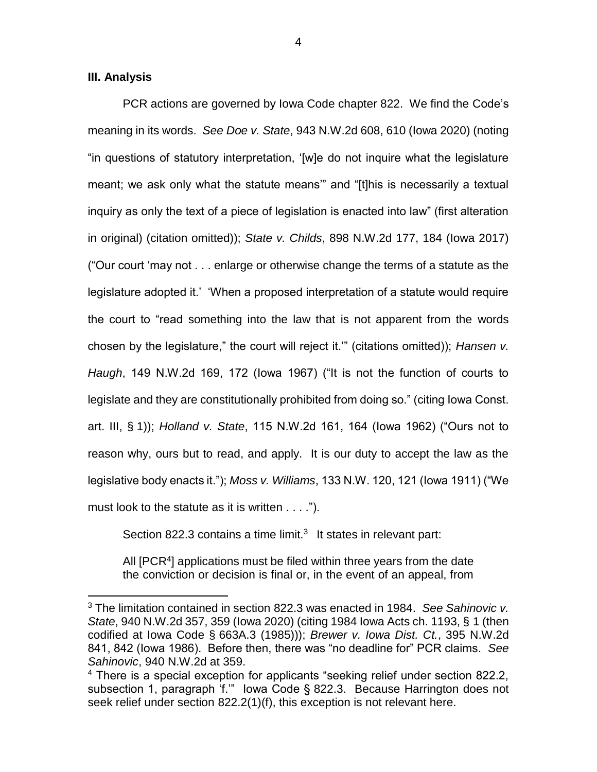### **III. Analysis**

 $\overline{a}$ 

PCR actions are governed by Iowa Code chapter 822. We find the Code's meaning in its words. *See Doe v. State*, 943 N.W.2d 608, 610 (Iowa 2020) (noting "in questions of statutory interpretation, '[w]e do not inquire what the legislature meant; we ask only what the statute means'" and "[t]his is necessarily a textual inquiry as only the text of a piece of legislation is enacted into law" (first alteration in original) (citation omitted)); *State v. Childs*, 898 N.W.2d 177, 184 (Iowa 2017) ("Our court 'may not . . . enlarge or otherwise change the terms of a statute as the legislature adopted it.' 'When a proposed interpretation of a statute would require the court to "read something into the law that is not apparent from the words chosen by the legislature," the court will reject it.'" (citations omitted)); *Hansen v. Haugh*, 149 N.W.2d 169, 172 (Iowa 1967) ("It is not the function of courts to legislate and they are constitutionally prohibited from doing so." (citing Iowa Const. art. III, § 1)); *Holland v. State*, 115 N.W.2d 161, 164 (Iowa 1962) ("Ours not to reason why, ours but to read, and apply. It is our duty to accept the law as the legislative body enacts it."); *Moss v. Williams*, 133 N.W. 120, 121 (Iowa 1911) ("We must look to the statute as it is written . . . .").

Section 822.3 contains a time limit. $3$  It states in relevant part:

All [PCR<sup>4</sup>] applications must be filed within three years from the date the conviction or decision is final or, in the event of an appeal, from

<sup>3</sup> The limitation contained in section 822.3 was enacted in 1984. *See Sahinovic v. State*, 940 N.W.2d 357, 359 (Iowa 2020) (citing 1984 Iowa Acts ch. 1193, § 1 (then codified at Iowa Code § 663A.3 (1985))); *Brewer v. Iowa Dist. Ct.*, 395 N.W.2d 841, 842 (Iowa 1986). Before then, there was "no deadline for" PCR claims. *See Sahinovic*, 940 N.W.2d at 359.

<sup>&</sup>lt;sup>4</sup> There is a special exception for applicants "seeking relief under section 822.2, subsection 1, paragraph 'f.'" Iowa Code § 822.3. Because Harrington does not seek relief under section 822.2(1)(f), this exception is not relevant here.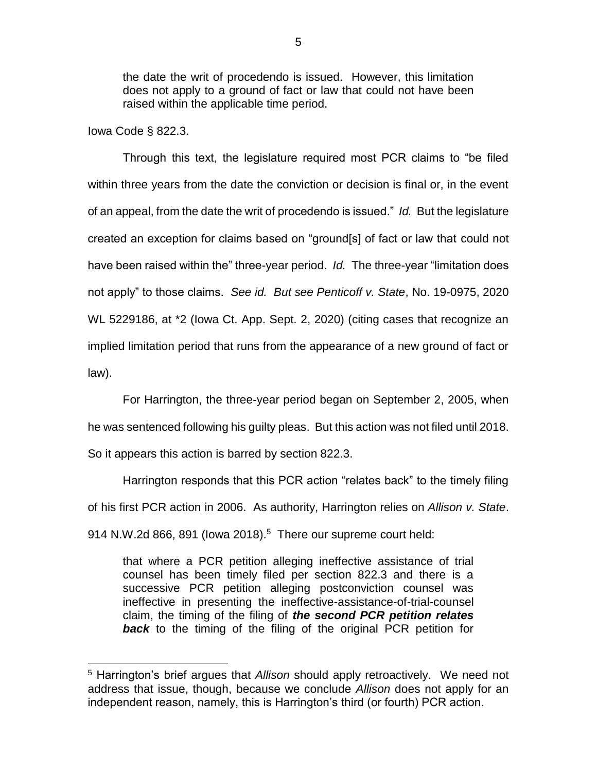the date the writ of procedendo is issued. However, this limitation does not apply to a ground of fact or law that could not have been raised within the applicable time period.

### Iowa Code § 822.3.

 $\overline{a}$ 

Through this text, the legislature required most PCR claims to "be filed within three years from the date the conviction or decision is final or, in the event of an appeal, from the date the writ of procedendo is issued." *Id.* But the legislature created an exception for claims based on "ground[s] of fact or law that could not have been raised within the" three-year period. *Id.* The three-year "limitation does not apply" to those claims. *See id. But see Penticoff v. State*, No. 19-0975, 2020 WL 5229186, at \*2 (Iowa Ct. App. Sept. 2, 2020) (citing cases that recognize an implied limitation period that runs from the appearance of a new ground of fact or law).

For Harrington, the three-year period began on September 2, 2005, when he was sentenced following his guilty pleas. But this action was not filed until 2018. So it appears this action is barred by section 822.3.

Harrington responds that this PCR action "relates back" to the timely filing of his first PCR action in 2006. As authority, Harrington relies on *Allison v. State*. 914 N.W.2d 866, 891 (lowa 2018). $5$  There our supreme court held:

that where a PCR petition alleging ineffective assistance of trial counsel has been timely filed per section 822.3 and there is a successive PCR petition alleging postconviction counsel was ineffective in presenting the ineffective-assistance-of-trial-counsel claim, the timing of the filing of *the second PCR petition relates*  **back** to the timing of the filing of the original PCR petition for

<sup>5</sup> Harrington's brief argues that *Allison* should apply retroactively. We need not address that issue, though, because we conclude *Allison* does not apply for an independent reason, namely, this is Harrington's third (or fourth) PCR action.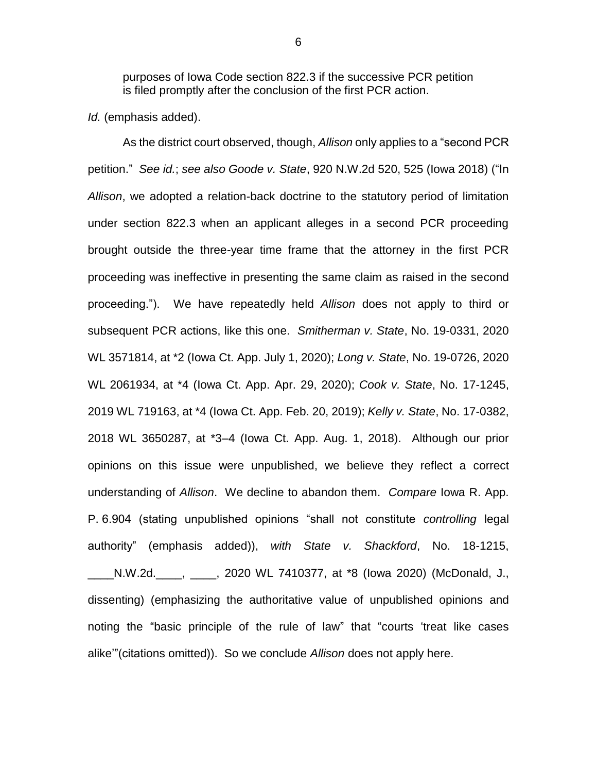purposes of Iowa Code section 822.3 if the successive PCR petition is filed promptly after the conclusion of the first PCR action.

*Id.* (emphasis added).

As the district court observed, though, *Allison* only applies to a "second PCR petition." *See id.*; *see also Goode v. State*, 920 N.W.2d 520, 525 (Iowa 2018) ("In *Allison*, we adopted a relation-back doctrine to the statutory period of limitation under section 822.3 when an applicant alleges in a second PCR proceeding brought outside the three-year time frame that the attorney in the first PCR proceeding was ineffective in presenting the same claim as raised in the second proceeding."). We have repeatedly held *Allison* does not apply to third or subsequent PCR actions, like this one. *Smitherman v. State*, No. 19-0331, 2020 WL 3571814, at \*2 (Iowa Ct. App. July 1, 2020); *Long v. State*, No. 19-0726, 2020 WL 2061934, at \*4 (Iowa Ct. App. Apr. 29, 2020); *Cook v. State*, No. 17-1245, 2019 WL 719163, at \*4 (Iowa Ct. App. Feb. 20, 2019); *Kelly v. State*, No. 17-0382, 2018 WL 3650287, at \*3–4 (Iowa Ct. App. Aug. 1, 2018). Although our prior opinions on this issue were unpublished, we believe they reflect a correct understanding of *Allison*. We decline to abandon them. *Compare* Iowa R. App. P. 6.904 (stating unpublished opinions "shall not constitute *controlling* legal authority" (emphasis added)), *with State v. Shackford*, No. 18-1215, \_\_\_\_N.W.2d.\_\_\_\_, \_\_\_\_, 2020 WL 7410377, at \*8 (Iowa 2020) (McDonald, J., dissenting) (emphasizing the authoritative value of unpublished opinions and noting the "basic principle of the rule of law" that "courts 'treat like cases alike'"(citations omitted)). So we conclude *Allison* does not apply here.